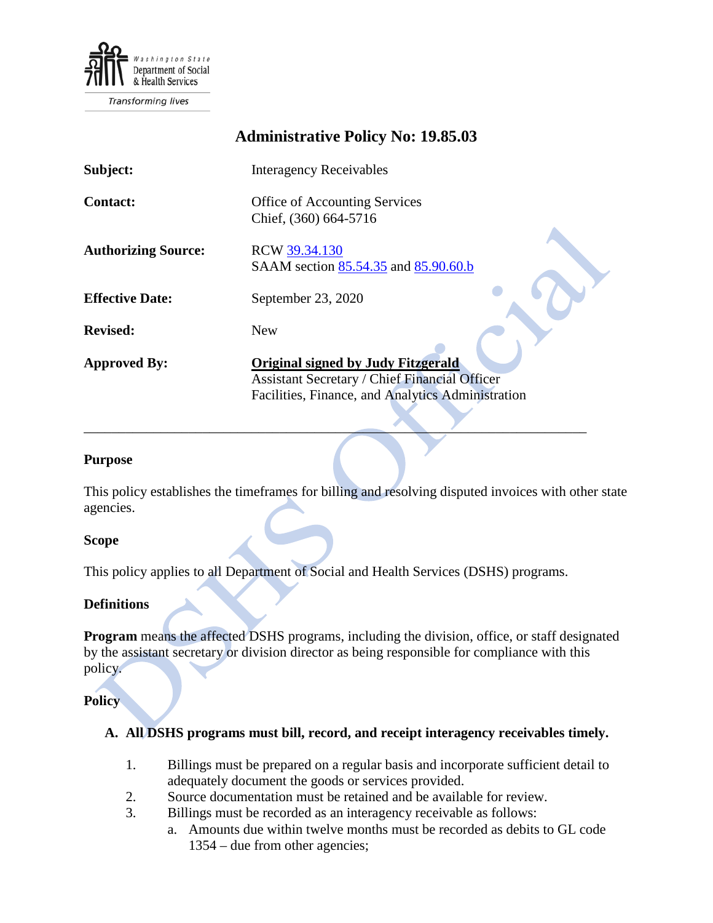

Transforming lives

# **Administrative Policy No: 19.85.03**

| Subject:                   | <b>Interagency Receivables</b>                                                                                                                  |
|----------------------------|-------------------------------------------------------------------------------------------------------------------------------------------------|
| <b>Contact:</b>            | Office of Accounting Services<br>Chief, (360) 664-5716                                                                                          |
| <b>Authorizing Source:</b> | RCW 39.34.130<br>SAAM section 85.54.35 and 85.90.60.b                                                                                           |
| <b>Effective Date:</b>     | September 23, 2020                                                                                                                              |
| <b>Revised:</b>            | <b>New</b>                                                                                                                                      |
| <b>Approved By:</b>        | <b>Original signed by Judy Fitzgerald</b><br>Assistant Secretary / Chief Financial Officer<br>Facilities, Finance, and Analytics Administration |

#### **Purpose**

This policy establishes the timeframes for billing and resolving disputed invoices with other state agencies.

 $\mathcal{L} = \{ \mathcal{L} \mid \mathcal{L} \text{ and } \mathcal{L} \text{ and } \mathcal{L} \}$ 

#### **Scope**

This policy applies to all Department of Social and Health Services (DSHS) programs.

#### **Definitions**

**Program** means the affected DSHS programs, including the division, office, or staff designated by the assistant secretary or division director as being responsible for compliance with this policy.

#### **Policy**

### **A. All DSHS programs must bill, record, and receipt interagency receivables timely.**

- 1. Billings must be prepared on a regular basis and incorporate sufficient detail to adequately document the goods or services provided.
- 2. Source documentation must be retained and be available for review.
- 3. Billings must be recorded as an interagency receivable as follows:
	- a. Amounts due within twelve months must be recorded as debits to GL code 1354 – due from other agencies;